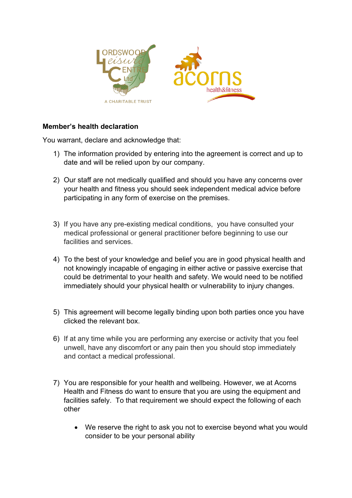

## **Member's health declaration**

You warrant, declare and acknowledge that:

- 1) The information provided by entering into the agreement is correct and up to date and will be relied upon by our company.
- 2) Our staff are not medically qualified and should you have any concerns over your health and fitness you should seek independent medical advice before participating in any form of exercise on the premises.
- 3) If you have any pre-existing medical conditions, you have consulted your medical professional or general practitioner before beginning to use our facilities and services.
- 4) To the best of your knowledge and belief you are in good physical health and not knowingly incapable of engaging in either active or passive exercise that could be detrimental to your health and safety. We would need to be notified immediately should your physical health or vulnerability to injury changes.
- 5) This agreement will become legally binding upon both parties once you have clicked the relevant box.
- 6) If at any time while you are performing any exercise or activity that you feel unwell, have any discomfort or any pain then you should stop immediately and contact a medical professional.
- 7) You are responsible for your health and wellbeing. However, we at Acorns Health and Fitness do want to ensure that you are using the equipment and facilities safely. To that requirement we should expect the following of each other
	- We reserve the right to ask you not to exercise beyond what you would consider to be your personal ability